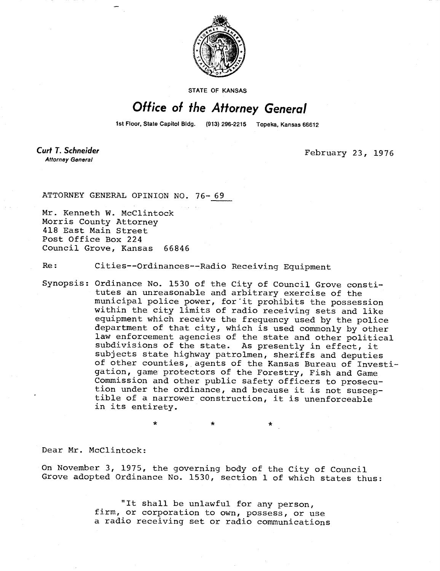

STATE OF KANSAS

## Office of the Attorney General

1st Floor, State Capitol Bldg. (913) 296-2215 Topeka, Kansas 66612

**Curt T. Schneider Attorney General** 

February 23, 1976

ATTORNEY GENERAL OPINION NO. 76-69

Mr. Kenneth W. McClintock Morris County Attorney 418 East Main Street Post Office Box 224 Council Grove, Kansas 66846

Re: Cities--Ordinances--Radio Receiving Equipment

Synopsis: Ordinance No. 1530 of the City of Council Grove constitutes an unreasonable and arbitrary exercise of the municipal police power, for it prohibits the possession within the city limits of radio receiving sets and like equipment which receive the frequency used by the police department of that city, which is used commonly by other law enforcement agencies of the state and other political subdivisions of the state. As presently in effect, it subjects state highway patrolmen, sheriffs and deputies of other counties, agents of the Kansas Bureau of Investigation, game protectors of the Forestry, Fish and Game Commission and other public safety officers to prosecution under the ordinance, and because it is not susceptible of a narrower construction, it is unenforceable in its entirety.

Dear Mr. McClintock:

On November 3, 1975, the governing body of the City of Council Grove adopted Ordinance No. 1530, section 1 of which states thus:

> "It shall be unlawful for any person, firm, or corporation to own, possess, or use a radio receiving set or radio communications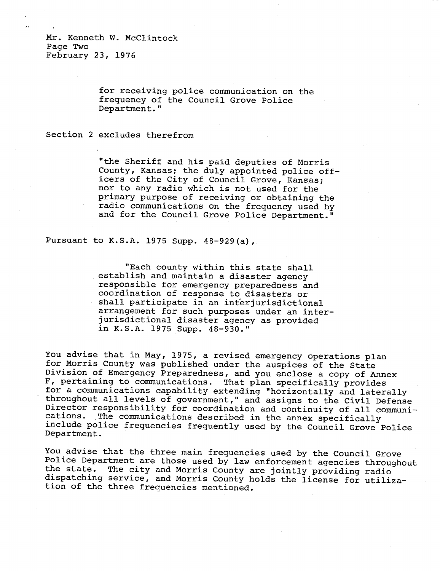Mr. Kenneth W. McClintock Page Two February 23, 1976

> for receiving police communication on the frequency of the Council Grove Police Department."

Section 2 excludes therefrom

"the Sheriff and his paid deputies of Morris County, Kansas; the duly appointed police officers of the City of Council Grove, Kansas; nor to any radio which is not used for the primary purpose of receiving or obtaining the radio communications on the frequency used by and for the Council Grove Police Department."

Pursuant to K.S.A. 1975 Supp. 48-929(a),

"Each county within this state shall establish and maintain a disaster agency responsible for emergency preparedness and coordination of response to disasters or shall participate in an interjurisdictional arrangement for such purposes under an interjurisdictional disaster agency as provided in K.S.A. 1975 Supp. 48-930."

You advise that in May, 1975, a revised emergency operations plan for Morris County was published under the auspices of the State Division of Emergency Preparedness, and you enclose a copy of Annex F, pertaining to communications. That plan specifically provides for a communications capability extending "horizontally and laterally throughout all levels of government," and assigns to the Civil Defense Director responsibility for coordination and continuity of all communications. The communications described in the annex specifically include police frequencies frequently used by the Council Grove Police Department.

You advise that the three main frequencies used by the Council Grove Police Department are those used by law enforcement agencies throughout the state. The city and Morris County are jointly providing radio dispatching service, and Morris County holds the license for utilization of the three frequencies mentioned.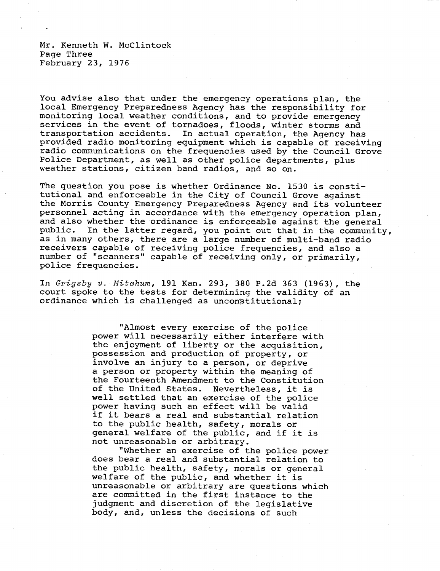Mr. Kenneth W. McClintock Page Three February 23, 1976

You advise also that under the emergency operations plan, the local Emergency Preparedness Agency has the responsibility for monitoring local weather conditions, and to provide emergency services in the event of tornadoes, floods, winter storms and transportation accidents. In actual operation, the Agency has provided radio monitoring equipment which is capable of receiving radio communications on the frequencies used by the Council Grove Police Department, as well as other police departments, plus weather stations, citizen band radios, and so on.

The question you pose is whether Ordinance No. 1530 is constitutional and enforceable in the City of Council Grove against the Morris County Emergency Preparedness Agency and its volunteer personnel acting in accordance with the emergency operation plan, and also whether the ordinance is enforceable against the general public. In the latter regard, you point out that in the community, as in many others, there are a large number of multi-band radio receivers capable of receiving police frequencies, and also a number of "scanners" capable of receiving only, or primarily, police frequencies.

In Grigsby v. Mitchum, 191 Kan. 293, 380 P.2d 363 (1963), the court spoke to the tests for determining the validity of an ordinance which is challenged as unconstitutional;

> "Almost every exercise of the police power will necessarily either interfere with the enjoyment of liberty or the acquisition, possession and production of property, or involve an injury to a person, or deprive a person or property within the meaning of the Fourteenth Amendment to the Constitution of the United States. Nevertheless, it is well settled that an exercise of the police power having such an effect will be valid if it bears a real and substantial relation to the public health, safety, morals or general welfare of the public, and if it is not unreasonable or arbitrary.

"Whether an exercise of the police power does bear a real and substantial relation to the public health, safety, morals or general welfare of the public, and whether it is unreasonable or arbitrary are questions which are committed in the first instance to the judgment and discretion of the legislative body, and, unless the decisions of such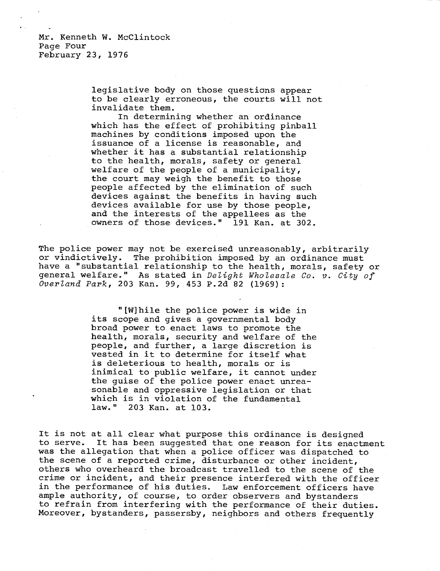Mr. Kenneth W. McClintock Page Four February 23, 1976

> legislative body on those questions appear to be clearly erroneous, the courts will not invalidate them.

In determining whether an ordinance which has the effect of prohibiting pinball machines by conditions imposed upon the issuance of a license is reasonable, and whether it has a substantial relationship to the health, morals, safety or general welfare of the people of a municipality, the court may weigh the benefit to those people affected by the elimination of such devices against the benefits in having such devices available for use by those people, and the interests of the appellees as the owners of those devices." 191 Kan. at 302.

The police power may not be exercised unreasonably, arbitrarily or vindictively. The prohibition imposed by an ordinance must have a "substantial relationship to the health, morals, safety or general welfare." As stated in Delight Wholesale Co. v. City of Overland Park, 203 Kan. 99, 453 P.2d 82 (1969):

> "[W]hile the police power is wide in its scope and gives a governmental body broad power to enact laws to promote the health, morals, security and welfare of the people, and further, a large discretion is vested in it to determine for itself what is deleterious to health, morals or is inimical to public welfare, it cannot under the guise of the police power enact unreasonable and oppressive legislation or that which is in violation of the fundamental law." 203 Kan. at 103.

It is not at all clear what purpose this ordinance is designed to serve. It has been suggested that one reason for its enactment was the allegation that when a police officer was dispatched to the scene of a reported crime, disturbance or other incident, others who overheard the broadcast travelled to the scene of the crime or incident, and their presence interfered with the officer in the performance of his duties. Law enforcement officers have ample authority, of course, to order observers and bystanders to refrain from interfering with the performance of their duties. Moreover, bystanders, passersby, neighbors and others frequently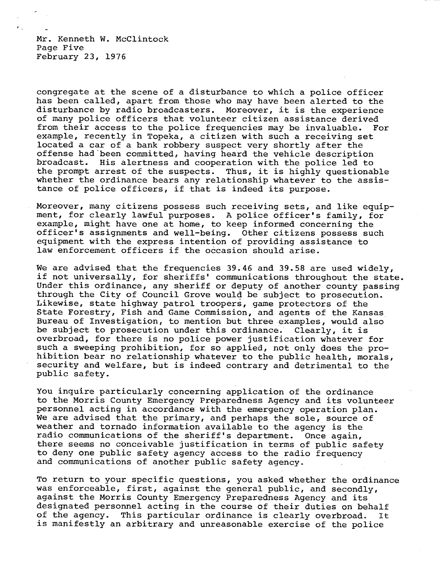Mr. Kenneth W. McClintock Page Five February 23, 1976

congregate at the scene of a disturbance to which a police officer has been called, apart from those who may have been alerted to the disturbance by radio broadcasters. Moreover, it is the experience of many police officers that volunteer citizen assistance derived from their access to the police frequencies may be invaluable. For example, recently in Topeka, a citizen with such a receiving set located a car of a bank robbery suspect very shortly after the offense had been committed, having heard the vehicle description broadcast. His alertness and cooperation with the police led to the prompt arrest of the suspects. Thus, it is highly questionable whether the ordinance bears any relationship whatever to the assistance of police officers, if that is indeed its purpose.

Moreover, many citizens possess such receiving sets, and like equipment, for clearly lawful purposes. A police officer's family, for example, might have one at home, to keep informed concerning the officer's assignments and well-being. Other citizens possess such equipment with the express intention of providing assistance to law enforcement officers if the occasion should arise.

We are advised that the frequencies 39.46 and 39.58 are used widely, if not universally, for sheriffs' communications throughout the state. Under this ordinance, any sheriff or deputy of another county passing through the City of Council Grove would be subject to prosecution. Likewise, state highway patrol troopers, game protectors of the State Forestry, Fish and Game Commission, and agents of the Kansas Bureau of Investigation, to mention but three examples, would also be subject to prosecution under this ordinance. Clearly, it is overbroad, for there is no police power justification whatever for such a sweeping prohibition, for so applied, not only does the prohibition bear no relationship whatever to the public health, morals, security and welfare, but is indeed contrary and detrimental to the public safety.

You inquire particularly concerning application of the ordinance to the Morris County Emergency Preparedness Agency and its volunteer personnel acting in accordance with the emergency operation plan. We are advised that the primary, and perhaps the sole, source of weather and tornado information available to the agency is the radio communications of the sheriff's department. Once again, there seems no conceivable justification in terms of public safety to deny one public safety agency access to the radio frequency and communications of another public safety agency.

To return to your specific questions, you asked whether the ordinance was enforceable, first, against the general public, and secondly, against the Morris County Emergency Preparedness Agency and its designated personnel acting in the course of their duties on behalf of the agency. This particular ordinance is clearly overbroad. It is manifestly an arbitrary and unreasonable exercise of the police